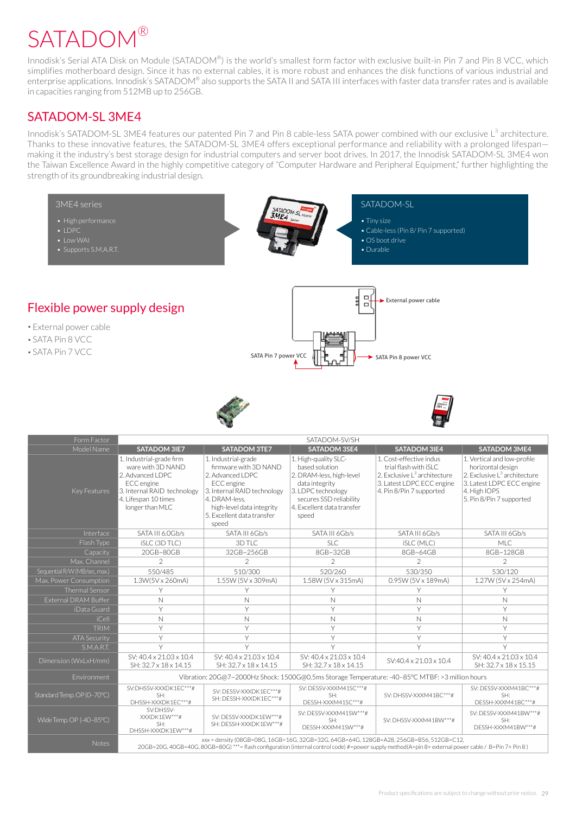## **SATADOM®**

Innodisk's Serial ATA Disk on Module (SATADOM®) is the world's smallest form factor with exclusive built-in Pin 7 and Pin 8 VCC, which simplifies motherboard design. Since it has no external cables, it is more robust and enhances the disk functions of various industrial and enterprise applications. Innodisk's SATADOM® also supports the SATA II and SATA III interfaces with faster data transfer rates and is available in capacities ranging from 512MB up to 256GB.

## SATADOM-SL 3ME4

Innodisk's SATADOM-SL 3ME4 features our patented Pin 7 and Pin 8 cable-less SATA power combined with our exclusive L<sup>3</sup> architecture. Thanks to these innovative features, the SATADOM-SL 3ME4 offers exceptional performance and reliability with a prolonged lifespan making it the industry's best storage design for industrial computers and server boot drives. In 2017, the Innodisk SATADOM-SL 3ME4 won the Taiwan Excellence Award in the highly competitive category of "Computer Hardware and Peripheral Equipment," further highlighting the strength of its groundbreaking industrial design.



 $\overline{S}$ DHSSH-XXXDK1EW\*\*\*# SH: DESSH-XXXDK1EW\*\*\*#

DESSH-XXXM41SW\*\*\*# , xxx = density (08GB=08G, 16GB=16G, 32GB=32G, 64GB=64G, 128GB=A28, 256GB=B56, 512GB=C12<br>( 20GB=20G, 40GB=40G, 80GB=80G) \*\*\*= flash configuration (internal control code) #=power supply method(A=pin 8+ external power cable

 $SH$ 

 $SH$ DESSH-XXXM41BW\*\*\*#

SV: DHSSV-XXXM41BW\*\*\*#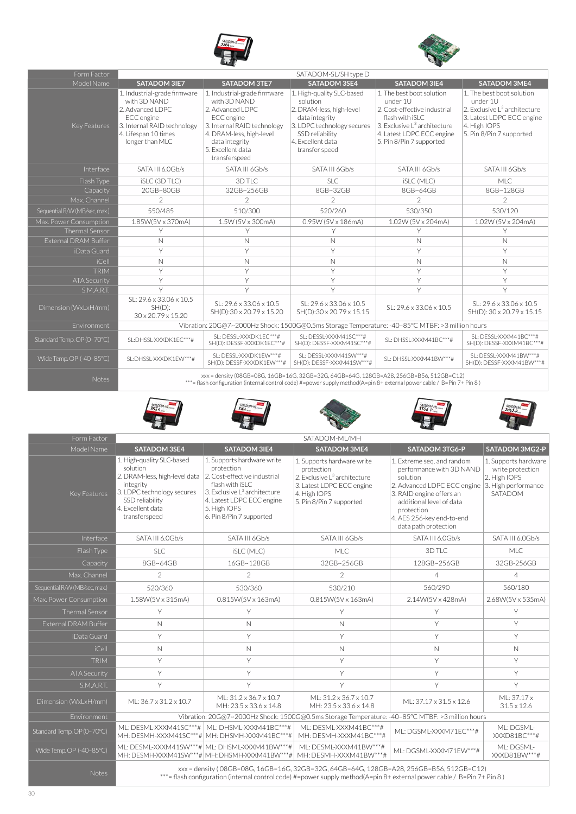



| Form Factor                   | SATADOM-SL/SH type D                                                                                                                                     |                                                                                                                                                                                                   |                                                                                                                                                                             |                                                                                                                                                                                               |                                                                                                                                                            |  |  |  |
|-------------------------------|----------------------------------------------------------------------------------------------------------------------------------------------------------|---------------------------------------------------------------------------------------------------------------------------------------------------------------------------------------------------|-----------------------------------------------------------------------------------------------------------------------------------------------------------------------------|-----------------------------------------------------------------------------------------------------------------------------------------------------------------------------------------------|------------------------------------------------------------------------------------------------------------------------------------------------------------|--|--|--|
| Model Name                    | <b>SATADOM 3IE7</b>                                                                                                                                      | <b>SATADOM 3TE7</b>                                                                                                                                                                               | <b>SATADOM 3SE4</b>                                                                                                                                                         | <b>SATADOM 3IE4</b>                                                                                                                                                                           | <b>SATADOM 3ME4</b>                                                                                                                                        |  |  |  |
| Key Features                  | 1. Industrial-grade firmware<br>with 3D NAND<br>2. Advanced LDPC<br>ECC engine<br>3. Internal RAID technology<br>4. Lifespan 10 times<br>longer than MLC | 1. Industrial-grade firmware<br>with 3D NAND<br>2. Advanced LDPC<br>ECC engine<br>3. Internal RAID technology<br>4. DRAM-less, high-level<br>data integrity<br>5. Excellent data<br>transferspeed | 1. High-quality SLC-based<br>solution<br>2. DRAM-less, high-level<br>data integrity<br>3. LDPC technology secures<br>SSD reliability<br>4. Excellent data<br>transfer speed | 1. The best boot solution<br>under 1U<br>2. Cost-effective industrial<br>flash with iSLC<br>3. Exclusive L <sup>3</sup> architecture<br>4. Latest LDPC ECC engine<br>5. Pin 8/Pin 7 supported | 1. The best boot solution<br>under 1U<br>2. Exclusive L <sup>3</sup> architecture<br>3. Latest LDPC ECC engine<br>4. High IOPS<br>5. Pin 8/Pin 7 supported |  |  |  |
| Interface                     | SATA III 6.0Gb/s                                                                                                                                         | SATA III 6Gb/s                                                                                                                                                                                    | SATA III 6Gb/s                                                                                                                                                              | SATA III 6Gb/s                                                                                                                                                                                | SATA III 6Gb/s                                                                                                                                             |  |  |  |
| Flash Type                    | iSLC (3D TLC)                                                                                                                                            | 3D TLC                                                                                                                                                                                            | <b>SLC</b>                                                                                                                                                                  | <b>iSLC (MLC)</b>                                                                                                                                                                             | MLC.                                                                                                                                                       |  |  |  |
| Capacity                      | 20GB~80GB                                                                                                                                                | 32GB~256GB                                                                                                                                                                                        | 8GB~32GB                                                                                                                                                                    | 8GB~64GB                                                                                                                                                                                      | 8GB~128GB                                                                                                                                                  |  |  |  |
| Max. Channel                  | $\overline{2}$                                                                                                                                           | $\overline{2}$                                                                                                                                                                                    | $\overline{2}$                                                                                                                                                              | $\overline{2}$                                                                                                                                                                                | $\overline{2}$                                                                                                                                             |  |  |  |
| Sequential R/W (MB/sec, max.) | 550/485                                                                                                                                                  | 510/300                                                                                                                                                                                           | 520/260                                                                                                                                                                     | 530/350                                                                                                                                                                                       | 530/120                                                                                                                                                    |  |  |  |
| Max. Power Consumption        | 1.85W(5V x 370mA)                                                                                                                                        | 1.5W (5V x 300mA)                                                                                                                                                                                 | 0.95W (5V x 186mA)                                                                                                                                                          | 1.02W (5V x 204mA)                                                                                                                                                                            | 1.02W (5V x 204mA)                                                                                                                                         |  |  |  |
| <b>Thermal Sensor</b>         | Y                                                                                                                                                        | Y                                                                                                                                                                                                 | Υ                                                                                                                                                                           | Y                                                                                                                                                                                             | Υ                                                                                                                                                          |  |  |  |
| <b>External DRAM Buffer</b>   | $\mathbb N$                                                                                                                                              | $\mathbb N$                                                                                                                                                                                       | $\mathbb N$                                                                                                                                                                 | N                                                                                                                                                                                             | $\mathbb N$                                                                                                                                                |  |  |  |
| iData Guard                   | Y                                                                                                                                                        | Υ                                                                                                                                                                                                 | Y                                                                                                                                                                           | Y                                                                                                                                                                                             | Υ                                                                                                                                                          |  |  |  |
| $i$ Cell                      | N                                                                                                                                                        | N                                                                                                                                                                                                 | N                                                                                                                                                                           | N                                                                                                                                                                                             | $\mathbb N$                                                                                                                                                |  |  |  |
| <b>TRIM</b>                   | Y                                                                                                                                                        | Υ                                                                                                                                                                                                 | Y                                                                                                                                                                           | Y                                                                                                                                                                                             | Y                                                                                                                                                          |  |  |  |
| <b>ATA Security</b>           | Y                                                                                                                                                        | Υ                                                                                                                                                                                                 | $\vee$                                                                                                                                                                      | Y                                                                                                                                                                                             | Y                                                                                                                                                          |  |  |  |
| S.M.A.R.T.                    | $\vee$                                                                                                                                                   | Y                                                                                                                                                                                                 | Y                                                                                                                                                                           | Y                                                                                                                                                                                             | Y                                                                                                                                                          |  |  |  |
| Dimension (WxLxH/mm)          | SL: 29.6 x 33.06 x 10.5<br>$SH(D)$ :<br>30 x 20.79 x 15.20                                                                                               | SL: 29.6 x 33.06 x 10.5<br>SH(D):30 x 20.79 x 15.20                                                                                                                                               | SL: 29.6 x 33.06 x 10.5<br>SH(D):30 x 20.79 x 15.15                                                                                                                         | SL: 29.6 x 33.06 x 10.5                                                                                                                                                                       | SL: 29.6 x 33.06 x 10.5<br>SH(D): 30 x 20.79 x 15.15                                                                                                       |  |  |  |
| Environment                   |                                                                                                                                                          | Vibration: 20G@7~2000Hz Shock: 1500G@0.5ms Storage Temperature: -40-85°C MTBF: >3 million hours                                                                                                   |                                                                                                                                                                             |                                                                                                                                                                                               |                                                                                                                                                            |  |  |  |
| Standard Temp. OP (0-70°C)    | SL:DHSSL-XXXDK1EC***#                                                                                                                                    | SL: DESSL-XXXDK1EC***#<br>SH(D): DESSF-XXXDK1EC***#                                                                                                                                               | SL: DESSL-XXXM41SC***#<br>SH(D): DESSF-XXXM41SC***#                                                                                                                         | SL: DHSSL-XXXM41BC***#                                                                                                                                                                        | SL: DESSL-XXXM41BC***#<br>SH(D): DESSF-XXXM41BC***#                                                                                                        |  |  |  |
| Wide Temp.OP (-40-85°C)       | SL:DHSSL-XXXDK1EW***#                                                                                                                                    | SL: DESSL-XXXDK1EW***#<br>SH(D): DESSF-XXXDK1EW***#                                                                                                                                               | SL: DESSL-XXXM41SW***#<br>SH(D): DESSF-XXXM41SW***#                                                                                                                         | SL: DHSSL-XXXM41BW***#                                                                                                                                                                        | SL: DESSL-XXXM41BW***#<br>SH(D): DESSF-XXXM41BW***#                                                                                                        |  |  |  |
|                               |                                                                                                                                                          |                                                                                                                                                                                                   |                                                                                                                                                                             |                                                                                                                                                                                               |                                                                                                                                                            |  |  |  |

xx = density (08GB=08G, 16GB=16G, 32GB=32G, 64GB=64G, 128GB=A28, 256GB=B56, 512GB=C12)<br>Motes = flash configuration (internal control code) #=power supply method(A=pin 8+ external power cable / B=Pin 7+ Pin 8 ) = flash conf











| Form Factor                   | SATADOM-ML/MH                                                                                                                                                                                                     |                                                                                                                                                                                                                  |                                                                                                                                                               |                                                                                                                                                                                                                                                  |                                                                     |  |  |
|-------------------------------|-------------------------------------------------------------------------------------------------------------------------------------------------------------------------------------------------------------------|------------------------------------------------------------------------------------------------------------------------------------------------------------------------------------------------------------------|---------------------------------------------------------------------------------------------------------------------------------------------------------------|--------------------------------------------------------------------------------------------------------------------------------------------------------------------------------------------------------------------------------------------------|---------------------------------------------------------------------|--|--|
| Model Name                    | <b>SATADOM 3SE4</b>                                                                                                                                                                                               | <b>SATADOM 3IE4</b>                                                                                                                                                                                              | <b>SATADOM 3ME4</b>                                                                                                                                           | <b>SATADOM 3TG6-P</b>                                                                                                                                                                                                                            | SATADOM 3MG2-P                                                      |  |  |
| Key Features                  | 1. High-quality SLC-based<br>solution<br>2. DRAM-less, high-level data<br>integrity<br>3. LDPC technology secures<br>SSD reliability<br>4. Excellent data<br>transferspeed                                        | 1. Supports hardware write<br>protection<br>2. Cost-effective industrial<br>flash with iSLC<br>3. Exclusive L <sup>3</sup> architecture<br>4. Latest LDPC ECC engine<br>5. High IOPS<br>6. Pin 8/Pin 7 supported | 1. Supports hardware write<br>protection<br>2. Exclusive L <sup>3</sup> architecture<br>3. Latest LDPC ECC engine<br>4. High IOPS<br>5. Pin 8/Pin 7 supported | 1. Extreme seg. and random<br>performance with 3D NAND<br>solution<br>2. Advanced LDPC ECC engine 3. High performance<br>3. RAID engine offers an<br>additional level of data<br>protection<br>4. AES 256-key end-to-end<br>data path protection | 1. Supports hardware<br>write protection<br>2. High IOPS<br>SATADOM |  |  |
| Interface                     | SATA III 6.0Gb/s                                                                                                                                                                                                  | SATA III 6Gb/s                                                                                                                                                                                                   | SATA III 6Gb/s                                                                                                                                                | SATA III 6.0Gb/s                                                                                                                                                                                                                                 | SATA III 6.0Gb/s                                                    |  |  |
| Flash Type                    | <b>SLC</b>                                                                                                                                                                                                        | <b>iSLC</b> (MLC)                                                                                                                                                                                                | <b>MLC</b>                                                                                                                                                    | 3D TLC                                                                                                                                                                                                                                           | <b>MLC</b>                                                          |  |  |
| Capacity                      | 8GB~64GB                                                                                                                                                                                                          | 16GB~128GB                                                                                                                                                                                                       | 32GB~256GB                                                                                                                                                    | 128GB~256GB                                                                                                                                                                                                                                      | 32GB-256GB                                                          |  |  |
| Max. Channel                  | 2                                                                                                                                                                                                                 | 2                                                                                                                                                                                                                | 2                                                                                                                                                             | $\overline{4}$                                                                                                                                                                                                                                   | $\overline{4}$                                                      |  |  |
| Sequential R/W (MB/sec, max.) | 520/360                                                                                                                                                                                                           | 530/360                                                                                                                                                                                                          | 530/210                                                                                                                                                       | 560/290                                                                                                                                                                                                                                          | 560/180                                                             |  |  |
| Max. Power Consumption        | 1.58W(5V x 315mA)                                                                                                                                                                                                 | 0.815W(5V x 163mA)                                                                                                                                                                                               | 0.815W(5V x 163mA)                                                                                                                                            | 2.14W(5V x 428mA)                                                                                                                                                                                                                                | 2.68W(5V x 535mA)                                                   |  |  |
| <b>Thermal Sensor</b>         | Y                                                                                                                                                                                                                 | Y                                                                                                                                                                                                                | Υ                                                                                                                                                             | Y                                                                                                                                                                                                                                                | Y                                                                   |  |  |
| <b>External DRAM Buffer</b>   | $\mathbb N$                                                                                                                                                                                                       | $\mathbb N$                                                                                                                                                                                                      | $\mathbb{N}$                                                                                                                                                  | Y                                                                                                                                                                                                                                                | Y.                                                                  |  |  |
| iData Guard                   | Y                                                                                                                                                                                                                 | Y                                                                                                                                                                                                                | Y                                                                                                                                                             | Y                                                                                                                                                                                                                                                | Y                                                                   |  |  |
| iCell                         | $\mathbb N$                                                                                                                                                                                                       | N                                                                                                                                                                                                                | $\mathbb{N}$                                                                                                                                                  | $\mathbb N$                                                                                                                                                                                                                                      | $\mathbb{N}$                                                        |  |  |
| <b>TRIM</b>                   | Y                                                                                                                                                                                                                 | Y                                                                                                                                                                                                                | Y                                                                                                                                                             | Y                                                                                                                                                                                                                                                | Y                                                                   |  |  |
| <b>ATA Security</b>           | Y                                                                                                                                                                                                                 | Y                                                                                                                                                                                                                | Y                                                                                                                                                             | Y                                                                                                                                                                                                                                                | Y                                                                   |  |  |
| S.M.A.R.T.                    | Y                                                                                                                                                                                                                 | Y                                                                                                                                                                                                                | Y                                                                                                                                                             | Y                                                                                                                                                                                                                                                | Y                                                                   |  |  |
| Dimension (WxLxH/mm)          | ML: 36.7 x 31.2 x 10.7                                                                                                                                                                                            | ML: 31.2 x 36.7 x 10.7<br>MH: 23.5 x 33.6 x 14.8                                                                                                                                                                 | ML: 31.2 x 36.7 x 10.7<br>MH: 23.5 x 33.6 x 14.8                                                                                                              | ML: 37.17 x 31.5 x 12.6                                                                                                                                                                                                                          | ML: 37.17 x<br>$31.5 \times 12.6$                                   |  |  |
| Environment                   |                                                                                                                                                                                                                   |                                                                                                                                                                                                                  | Vibration: 20G@7~2000Hz Shock: 1500G@0.5ms Storage Temperature: -40-85°C MTBF: >3 million hours                                                               |                                                                                                                                                                                                                                                  |                                                                     |  |  |
| Standard Temp. OP (0-70°C)    |                                                                                                                                                                                                                   | ML: DESML-XXXM41SC***#   ML: DHSML-XXXM41BC***#<br>MH: DESMH-XXXM41SC***# MH: DHSMH-XXXM41BC***#                                                                                                                 | MI: DESMI-XXXM41BC***#<br>MH: DESMH-XXXM41BC***#                                                                                                              | ML: DGSML-XXXM71EC***#                                                                                                                                                                                                                           | ML: DGSML-<br>XXXD81BC***#                                          |  |  |
| Wide Temp.OP (-40-85°C)       |                                                                                                                                                                                                                   | ML: DESML-XXXM41SW***# ML: DHSML-XXXM41BW***#<br>MH: DESMH-XXXM41SW***# MH: DHSMH-XXXM41BW***#                                                                                                                   | ML: DESML-XXXM41BW***#<br>MH: DESMH-XXXM41BW***#                                                                                                              | ML: DGSML-XXXM71EW***#                                                                                                                                                                                                                           | ML: DGSML-<br>XXXD81BW***#                                          |  |  |
| <b>Notes</b>                  | xxx = density (08GB=08G, 16GB=16G, 32GB=32G, 64GB=64G, 128GB=A28, 256GB=B56, 512GB=C12)<br>***= flash configuration (internal control code) #=power supply method(A=pin 8+ external power cable / B=Pin 7+ Pin 8) |                                                                                                                                                                                                                  |                                                                                                                                                               |                                                                                                                                                                                                                                                  |                                                                     |  |  |